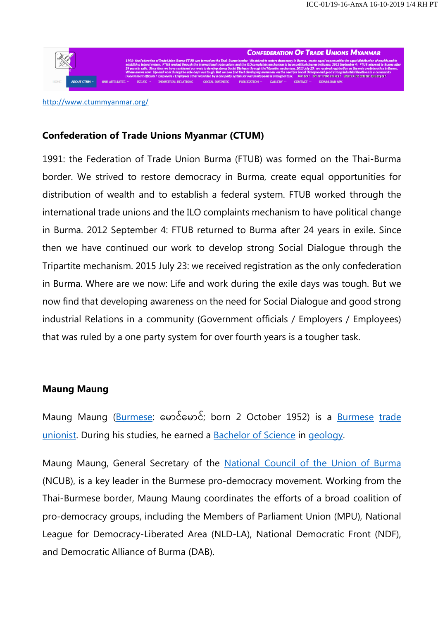

**CONFEDERATION OF TRADE UNIONS MYANMAR** 

http://www.ctummyanmar.org/

# **Confederation of Trade Unions Myanmar (CTUM)**

1991: the Federation of Trade Union Burma (FTUB) was formed on the Thai-Burma border. We strived to restore democracy in Burma, create equal opportunities for distribution of wealth and to establish a federal system. FTUB worked through the international trade unions and the ILO complaints mechanism to have political change in Burma. 2012 September 4: FTUB returned to Burma after 24 years in exile. Since then we have continued our work to develop strong Social Dialogue through the Tripartite mechanism. 2015 July 23: we received registration as the only confederation in Burma. Where are we now: Life and work during the exile days was tough. But we now find that developing awareness on the need for Social Dialogue and good strong industrial Relations in a community (Government officials / Employers / Employees) that was ruled by a one party system for over fourth years is a tougher task.

## **Maung Maung**

Maung Maung (Burmese: ေမာင်ေမာင်; born 2 October 1952) is a Burmese trade unionist. During his studies, he earned a **Bachelor of Science in geology**.

Maung Maung, General Secretary of the National Council of the Union of Burma (NCUB), is a key leader in the Burmese pro-democracy movement. Working from the Thai-Burmese border, Maung Maung coordinates the efforts of a broad coalition of pro-democracy groups, including the Members of Parliament Union (MPU), National League for Democracy-Liberated Area (NLD-LA), National Democratic Front (NDF), and Democratic Alliance of Burma (DAB).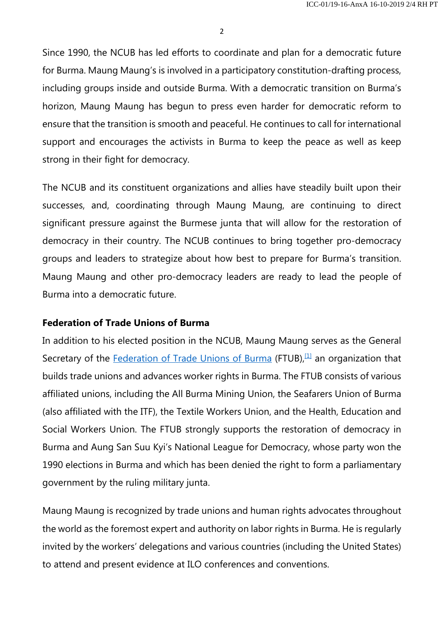2

Since 1990, the NCUB has led efforts to coordinate and plan for a democratic future for Burma. Maung Maung's is involved in a participatory constitution-drafting process, including groups inside and outside Burma. With a democratic transition on Burma's horizon, Maung Maung has begun to press even harder for democratic reform to ensure that the transition is smooth and peaceful. He continues to call for international support and encourages the activists in Burma to keep the peace as well as keep strong in their fight for democracy.

The NCUB and its constituent organizations and allies have steadily built upon their successes, and, coordinating through Maung Maung, are continuing to direct significant pressure against the Burmese junta that will allow for the restoration of democracy in their country. The NCUB continues to bring together pro-democracy groups and leaders to strategize about how best to prepare for Burma's transition. Maung Maung and other pro-democracy leaders are ready to lead the people of Burma into a democratic future.

#### **Federation of Trade Unions of Burma**

In addition to his elected position in the NCUB, Maung Maung serves as the General Secretary of the Federation of Trade Unions of Burma (FTUB), $[1]$  an organization that builds trade unions and advances worker rights in Burma. The FTUB consists of various affiliated unions, including the All Burma Mining Union, the Seafarers Union of Burma (also affiliated with the ITF), the Textile Workers Union, and the Health, Education and Social Workers Union. The FTUB strongly supports the restoration of democracy in Burma and Aung San Suu Kyi's National League for Democracy, whose party won the 1990 elections in Burma and which has been denied the right to form a parliamentary government by the ruling military junta.

Maung Maung is recognized by trade unions and human rights advocates throughout the world as the foremost expert and authority on labor rights in Burma. He is regularly invited by the workers' delegations and various countries (including the United States) to attend and present evidence at ILO conferences and conventions.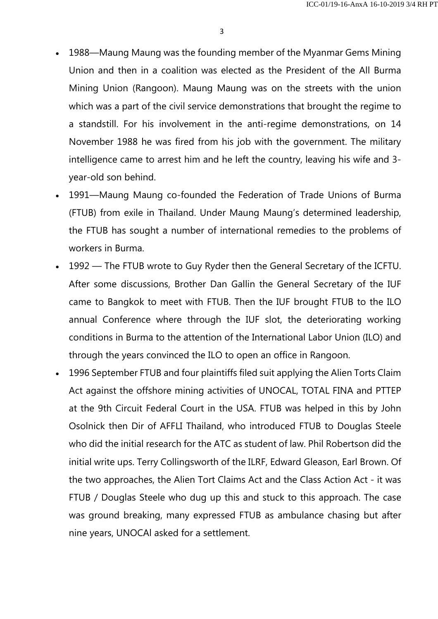- 1988—Maung Maung was the founding member of the Myanmar Gems Mining Union and then in a coalition was elected as the President of the All Burma Mining Union (Rangoon). Maung Maung was on the streets with the union which was a part of the civil service demonstrations that brought the regime to a standstill. For his involvement in the anti-regime demonstrations, on 14 November 1988 he was fired from his job with the government. The military intelligence came to arrest him and he left the country, leaving his wife and 3 year-old son behind.
- 1991—Maung Maung co-founded the Federation of Trade Unions of Burma (FTUB) from exile in Thailand. Under Maung Maung's determined leadership, the FTUB has sought a number of international remedies to the problems of workers in Burma.
- 1992 The FTUB wrote to Guy Ryder then the General Secretary of the ICFTU. After some discussions, Brother Dan Gallin the General Secretary of the IUF came to Bangkok to meet with FTUB. Then the IUF brought FTUB to the ILO annual Conference where through the IUF slot, the deteriorating working conditions in Burma to the attention of the International Labor Union (ILO) and through the years convinced the ILO to open an office in Rangoon.
- 1996 September FTUB and four plaintiffs filed suit applying the Alien Torts Claim Act against the offshore mining activities of UNOCAL, TOTAL FINA and PTTEP at the 9th Circuit Federal Court in the USA. FTUB was helped in this by John Osolnick then Dir of AFFLI Thailand, who introduced FTUB to Douglas Steele who did the initial research for the ATC as student of law. Phil Robertson did the initial write ups. Terry Collingsworth of the ILRF, Edward Gleason, Earl Brown. Of the two approaches, the Alien Tort Claims Act and the Class Action Act - it was FTUB / Douglas Steele who dug up this and stuck to this approach. The case was ground breaking, many expressed FTUB as ambulance chasing but after nine years, UNOCAl asked for a settlement.